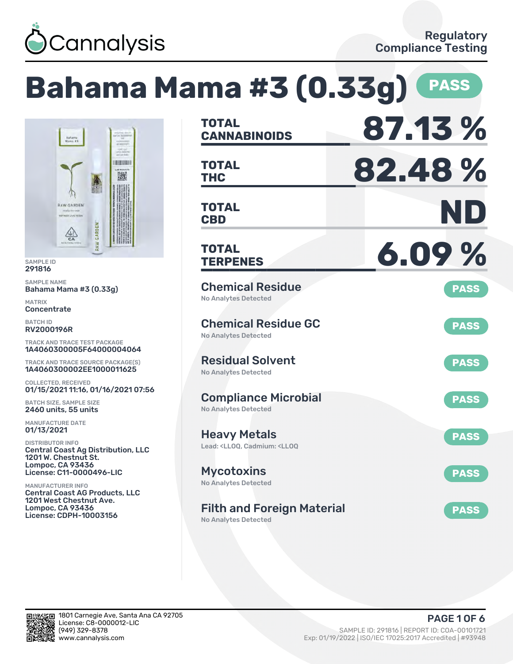

# **Bahama Mama #3 (0.33g) PASS**



SAMPLE ID 291816

SAMPLE NAME Bahama Mama #3 (0.33g)

MATRIX **Concentrate** 

BATCH ID RV2000196R

TRACK AND TRACE TEST PACKAGE 1A4060300005F64000004064

TRACK AND TRACE SOURCE PACKAGE(S) 1A4060300002EE1000011625

COLLECTED, RECEIVED 01/15/2021 11:16, 01/16/2021 07:56

BATCH SIZE, SAMPLE SIZE 2460 units, 55 units

MANUFACTURE DATE 01/13/2021

DISTRIBUTOR INFO Central Coast Ag Distribution, LLC 1201 W. Chestnut St. Lompoc, CA 93436 License: C11-0000496-LIC

MANUFACTURER INFO Central Coast AG Products, LLC 1201 West Chestnut Ave. Lompoc, CA 93436 License: CDPH-10003156

| <b>TOTAL</b><br><b>CANNABINOIDS</b>                                                          | 87.13%      |
|----------------------------------------------------------------------------------------------|-------------|
| <b>TOTAL</b><br><b>THC</b>                                                                   | 82.48%      |
| TOTAL<br><b>CBD</b>                                                                          | ND          |
| <b>TOTAL</b><br><b>TERPENES</b>                                                              | 6.09%       |
| <b>Chemical Residue</b><br><b>No Analytes Detected</b>                                       | <b>PASS</b> |
| <b>Chemical Residue GC</b><br><b>No Analytes Detected</b>                                    | <b>PASS</b> |
| <b>Residual Solvent</b><br><b>No Analytes Detected</b>                                       | <b>PASS</b> |
| <b>Compliance Microbial</b><br><b>No Analytes Detected</b>                                   | <b>PASS</b> |
| <b>Heavy Metals</b><br>Lead: <lloq, <lloq<="" cadmium:="" td=""><td><b>PASS</b></td></lloq,> | <b>PASS</b> |
| <b>Mycotoxins</b><br>No Analytes Detected                                                    | <b>PASS</b> |
| <b>Filth and Foreign Material</b>                                                            | <b>PASS</b> |

No Analytes Detected

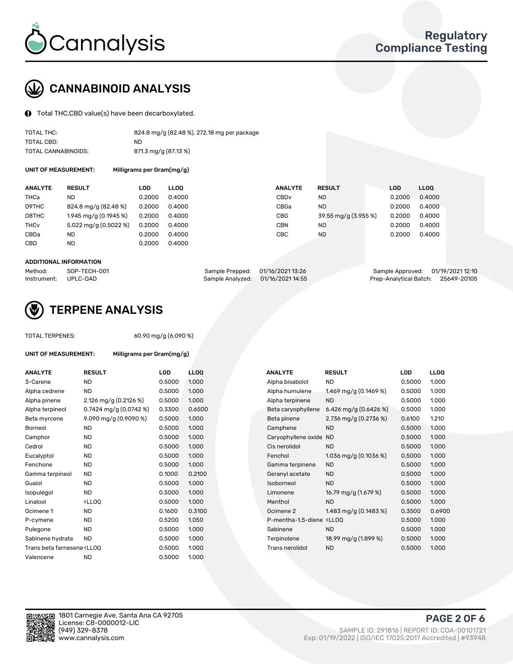

## CANNABINOID ANALYSIS

Total THC,CBD value(s) have been decarboxylated.

| TOTAL THC:          | 824.8 mg/g (82.48 %), 272.18 mg per package |
|---------------------|---------------------------------------------|
| TOTAL CBD:          | ND.                                         |
| TOTAL CANNABINOIDS: | 871.3 mg/g (87.13 %)                        |

UNIT OF MEASUREMENT: Milligrams per Gram(mg/g)

| <b>ANALYTE</b>         | <b>RESULT</b>                      | LOD    | <b>LLOO</b> | <b>ANALYTE</b>   | <b>RESULT</b>        | LOD    | <b>LLOO</b> |
|------------------------|------------------------------------|--------|-------------|------------------|----------------------|--------|-------------|
| THCa                   | ND                                 | 0.2000 | 0.4000      | CBD <sub>v</sub> | ND.                  | 0.2000 | 0.4000      |
| D9THC                  | 824.8 mg/g (82.48 %)               | 0.2000 | 0.4000      | CBGa             | <b>ND</b>            | 0.2000 | 0.4000      |
| D8THC                  | 1.945 mg/g (0.1945 %)              | 0.2000 | 0.4000      | <b>CBG</b>       | 39.55 mg/g (3.955 %) | 0.2000 | 0.4000      |
| <b>THC<sub>v</sub></b> | $5.022 \,\mathrm{mq/q}$ (0.5022 %) | 0.2000 | 0.4000      | CBN              | ND.                  | 0.2000 | 0.4000      |
| CBDa                   | <b>ND</b>                          | 0.2000 | 0.4000      | CBC              | <b>ND</b>            | 0.2000 | 0.4000      |
| CBD                    | <b>ND</b>                          | 0.2000 | 0.4000      |                  |                      |        |             |

#### ADDITIONAL INFORMATION

| Method:              | SOP-TECH-001 | Sample Prepped: 01/16/2021 13:26 |                                   | Sample Approved: 01/19/2021 12:10  |  |
|----------------------|--------------|----------------------------------|-----------------------------------|------------------------------------|--|
| Instrument: UPLC-DAD |              |                                  | Sample Analyzed: 01/16/2021 14:55 | Prep-Analytical Batch: 25649-20105 |  |



### TERPENE ANALYSIS

| <b>TOTAL TERPENES:</b>                                                           |                           | 60.90 mg/g (6.090 %) |             |  |  |  |  |
|----------------------------------------------------------------------------------|---------------------------|----------------------|-------------|--|--|--|--|
| UNIT OF MEASUREMENT:                                                             | Milligrams per Gram(mg/g) |                      |             |  |  |  |  |
| <b>ANALYTE</b>                                                                   | <b>RESULT</b>             | LOD                  | <b>LLOO</b> |  |  |  |  |
| 3-Carene                                                                         | <b>ND</b>                 | 0.5000               | 1.000       |  |  |  |  |
| Alpha cedrene                                                                    | <b>ND</b>                 | 0.5000               | 1.000       |  |  |  |  |
| Alpha pinene                                                                     | 2.126 mg/g $(0.2126\%)$   | 0.5000               | 1.000       |  |  |  |  |
| Alpha terpineol                                                                  | 0.7424 mg/g $(0.0742\%)$  | 0.3300               | 0.650       |  |  |  |  |
| Beta myrcene                                                                     | 9.090 mg/g (0.9090 %)     | 0.5000               | 1.000       |  |  |  |  |
| Borneol                                                                          | <b>ND</b>                 | 0.5000               | 1.000       |  |  |  |  |
| Camphor                                                                          | <b>ND</b>                 | 0.5000               | 1.000       |  |  |  |  |
| Cedrol                                                                           | <b>ND</b>                 | 0.5000               | 1.000       |  |  |  |  |
| Eucalyptol                                                                       | <b>ND</b>                 | 0.5000               | 1.000       |  |  |  |  |
| Fenchone                                                                         | <b>ND</b>                 | 0.5000               | 1.000       |  |  |  |  |
| Gamma terpineol                                                                  | <b>ND</b>                 | 0.1000               | 0.210       |  |  |  |  |
| Guaiol                                                                           | <b>ND</b>                 | 0.5000               | 1.000       |  |  |  |  |
| Isopulegol                                                                       | ND                        | 0.5000               | 1.000       |  |  |  |  |
| Linalool                                                                         | $<$ LLOO                  | 0.5000               | 1.000       |  |  |  |  |
| Ocimene 1                                                                        | <b>ND</b>                 | 0.1600               | 0.310       |  |  |  |  |
| P-cymene                                                                         | <b>ND</b>                 | 0.5200               | 1.050       |  |  |  |  |
| Pulegone                                                                         | <b>ND</b>                 | 0.5000               | 1.000       |  |  |  |  |
| Sabinene hydrate                                                                 | ND.                       | 0.5000               | 1.000       |  |  |  |  |
| Trans beta farnesene <ll00< td=""><td></td><td>0.5000</td><td>1.000</td></ll00<> |                           | 0.5000               | 1.000       |  |  |  |  |
| Valencene                                                                        | <b>ND</b>                 | 0.5000               | 1.000       |  |  |  |  |
|                                                                                  |                           |                      |             |  |  |  |  |

| ANALYTE                                                                                                                                                 | <b>RESULT</b>                                                                                                     | <b>LOD</b> | <b>LLOQ</b> | <b>ANALYTE</b>                                                                 | <b>RESULT</b>           | <b>LOD</b> | <b>LLOQ</b> |
|---------------------------------------------------------------------------------------------------------------------------------------------------------|-------------------------------------------------------------------------------------------------------------------|------------|-------------|--------------------------------------------------------------------------------|-------------------------|------------|-------------|
| 3-Carene                                                                                                                                                | <b>ND</b>                                                                                                         | 0.5000     | 1.000       | Alpha bisabolol                                                                | <b>ND</b>               | 0.5000     | 1.000       |
| Alpha cedrene                                                                                                                                           | <b>ND</b>                                                                                                         | 0.5000     | 1.000       | Alpha humulene                                                                 | 1.469 mg/g (0.1469 %)   | 0.5000     | 1.000       |
| Alpha pinene                                                                                                                                            | 2.126 mg/g $(0.2126\%)$                                                                                           | 0.5000     | 1.000       | Alpha terpinene                                                                | <b>ND</b>               | 0.5000     | 1.000       |
| Alpha terpineol                                                                                                                                         | 0.7424 mg/g $(0.0742%)$                                                                                           | 0.3300     | 0.6500      | Beta caryophyllene                                                             | 6.426 mg/g (0.6426 %)   | 0.5000     | 1.000       |
| Beta myrcene                                                                                                                                            | $9.090$ mg/g (0.9090 %)                                                                                           | 0.5000     | 1.000       | Beta pinene                                                                    | 2.736 mg/g $(0.2736\%)$ | 0.6100     | 1.210       |
| Borneol                                                                                                                                                 | ND                                                                                                                | 0.5000     | 1.000       | Camphene                                                                       | <b>ND</b>               | 0.5000     | 1.000       |
| Camphor                                                                                                                                                 | <b>ND</b>                                                                                                         | 0.5000     | 1.000       | Caryophyllene oxide ND                                                         |                         | 0.5000     | 1.000       |
| Cedrol                                                                                                                                                  | <b>ND</b>                                                                                                         | 0.5000     | 1.000       | Cis nerolidol                                                                  | <b>ND</b>               | 0.5000     | 1.000       |
| Eucalyptol                                                                                                                                              | ND                                                                                                                | 0.5000     | 1.000       | Fenchol                                                                        | 1.036 mg/g $(0.1036\%)$ | 0.5000     | 1.000       |
| Fenchone                                                                                                                                                | ND                                                                                                                | 0.5000     | 1.000       | Gamma terpinene                                                                | <b>ND</b>               | 0.5000     | 1.000       |
| Gamma terpineol                                                                                                                                         | <b>ND</b>                                                                                                         | 0.1000     | 0.2100      | Geranyl acetate                                                                | ND.                     | 0.5000     | 1.000       |
| Guaiol                                                                                                                                                  | ND                                                                                                                | 0.5000     | 1.000       | Isoborneol                                                                     | <b>ND</b>               | 0.5000     | 1.000       |
| Isopulegol                                                                                                                                              | <b>ND</b>                                                                                                         | 0.5000     | 1.000       | Limonene                                                                       | 16.79 mg/g (1.679 %)    | 0.5000     | 1.000       |
| Linalool                                                                                                                                                | <lloq< td=""><td>0.5000</td><td>1.000</td><td>Menthol</td><td><b>ND</b></td><td>0.5000</td><td>1.000</td></lloq<> | 0.5000     | 1.000       | Menthol                                                                        | <b>ND</b>               | 0.5000     | 1.000       |
| Ocimene 1                                                                                                                                               | ND                                                                                                                | 0.1600     | 0.3100      | Ocimene 2                                                                      | 1.483 mg/g $(0.1483\%)$ | 0.3500     | 0.6900      |
| P-cymene                                                                                                                                                | <b>ND</b>                                                                                                         | 0.5200     | 1.050       | P-mentha-1,5-diene <lloq< td=""><td></td><td>0.5000</td><td>1.000</td></lloq<> |                         | 0.5000     | 1.000       |
| Pulegone                                                                                                                                                | <b>ND</b>                                                                                                         | 0.5000     | 1.000       | Sabinene                                                                       | <b>ND</b>               | 0.5000     | 1.000       |
| Sabinene hydrate                                                                                                                                        | <b>ND</b>                                                                                                         | 0.5000     | 1.000       | Terpinolene                                                                    | 18.99 mg/g (1.899 %)    | 0.5000     | 1.000       |
| Trans beta farnesene <ll00< td=""><td></td><td>0.5000</td><td>1.000</td><td>Trans nerolidol</td><td><b>ND</b></td><td>0.5000</td><td>1.000</td></ll00<> |                                                                                                                   | 0.5000     | 1.000       | Trans nerolidol                                                                | <b>ND</b>               | 0.5000     | 1.000       |
|                                                                                                                                                         |                                                                                                                   |            |             |                                                                                |                         |            |             |

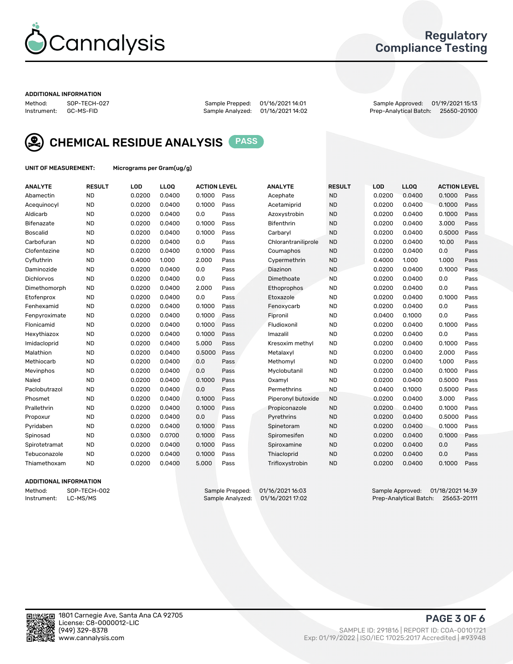

#### Regulatory Compliance Testing

#### ADDITIONAL INFORMATION

Method: SOP-TECH-027 Sample Prepped: 01/16/2021 14:01 Sample Approved: 01/19/2021 15:13 Prep-Analytical Batch: 25650-20100



CHEMICAL RESIDUE ANALYSIS PASS

UNIT OF MEASUREMENT: Micrograms per Gram(ug/g)

| <b>ANALYTE</b>    | <b>RESULT</b> | LOD    | LLOQ   | <b>ACTION LEVEL</b> |      | <b>ANALYTE</b>      | <b>RESULT</b> | <b>LOD</b> | <b>LLOQ</b> | <b>ACTION LEVEL</b> |      |
|-------------------|---------------|--------|--------|---------------------|------|---------------------|---------------|------------|-------------|---------------------|------|
| Abamectin         | <b>ND</b>     | 0.0200 | 0.0400 | 0.1000              | Pass | Acephate            | <b>ND</b>     | 0.0200     | 0.0400      | 0.1000              | Pass |
| Acequinocyl       | <b>ND</b>     | 0.0200 | 0.0400 | 0.1000              | Pass | Acetamiprid         | <b>ND</b>     | 0.0200     | 0.0400      | 0.1000              | Pass |
| Aldicarb          | <b>ND</b>     | 0.0200 | 0.0400 | 0.0                 | Pass | Azoxystrobin        | <b>ND</b>     | 0.0200     | 0.0400      | 0.1000              | Pass |
| Bifenazate        | <b>ND</b>     | 0.0200 | 0.0400 | 0.1000              | Pass | <b>Bifenthrin</b>   | <b>ND</b>     | 0.0200     | 0.0400      | 3.000               | Pass |
| <b>Boscalid</b>   | <b>ND</b>     | 0.0200 | 0.0400 | 0.1000              | Pass | Carbarvl            | <b>ND</b>     | 0.0200     | 0.0400      | 0.5000              | Pass |
| Carbofuran        | <b>ND</b>     | 0.0200 | 0.0400 | 0.0                 | Pass | Chlorantraniliprole | <b>ND</b>     | 0.0200     | 0.0400      | 10.00               | Pass |
| Clofentezine      | <b>ND</b>     | 0.0200 | 0.0400 | 0.1000              | Pass | Coumaphos           | <b>ND</b>     | 0.0200     | 0.0400      | 0.0                 | Pass |
| Cyfluthrin        | <b>ND</b>     | 0.4000 | 1.000  | 2.000               | Pass | Cypermethrin        | <b>ND</b>     | 0.4000     | 1.000       | 1.000               | Pass |
| Daminozide        | <b>ND</b>     | 0.0200 | 0.0400 | 0.0                 | Pass | Diazinon            | <b>ND</b>     | 0.0200     | 0.0400      | 0.1000              | Pass |
| <b>Dichlorvos</b> | <b>ND</b>     | 0.0200 | 0.0400 | 0.0                 | Pass | Dimethoate          | <b>ND</b>     | 0.0200     | 0.0400      | 0.0                 | Pass |
| Dimethomorph      | <b>ND</b>     | 0.0200 | 0.0400 | 2.000               | Pass | <b>Ethoprophos</b>  | <b>ND</b>     | 0.0200     | 0.0400      | 0.0                 | Pass |
| Etofenprox        | <b>ND</b>     | 0.0200 | 0.0400 | 0.0                 | Pass | Etoxazole           | <b>ND</b>     | 0.0200     | 0.0400      | 0.1000              | Pass |
| Fenhexamid        | <b>ND</b>     | 0.0200 | 0.0400 | 0.1000              | Pass | Fenoxycarb          | <b>ND</b>     | 0.0200     | 0.0400      | 0.0                 | Pass |
| Fenpyroximate     | <b>ND</b>     | 0.0200 | 0.0400 | 0.1000              | Pass | Fipronil            | <b>ND</b>     | 0.0400     | 0.1000      | 0.0                 | Pass |
| Flonicamid        | <b>ND</b>     | 0.0200 | 0.0400 | 0.1000              | Pass | Fludioxonil         | <b>ND</b>     | 0.0200     | 0.0400      | 0.1000              | Pass |
| Hexythiazox       | <b>ND</b>     | 0.0200 | 0.0400 | 0.1000              | Pass | Imazalil            | <b>ND</b>     | 0.0200     | 0.0400      | 0.0                 | Pass |
| Imidacloprid      | <b>ND</b>     | 0.0200 | 0.0400 | 5.000               | Pass | Kresoxim methyl     | <b>ND</b>     | 0.0200     | 0.0400      | 0.1000              | Pass |
| Malathion         | <b>ND</b>     | 0.0200 | 0.0400 | 0.5000              | Pass | Metalaxyl           | <b>ND</b>     | 0.0200     | 0.0400      | 2.000               | Pass |
| Methiocarb        | <b>ND</b>     | 0.0200 | 0.0400 | 0.0                 | Pass | Methomyl            | <b>ND</b>     | 0.0200     | 0.0400      | 1.000               | Pass |
| Mevinphos         | <b>ND</b>     | 0.0200 | 0.0400 | 0.0                 | Pass | Myclobutanil        | <b>ND</b>     | 0.0200     | 0.0400      | 0.1000              | Pass |
| Naled             | <b>ND</b>     | 0.0200 | 0.0400 | 0.1000              | Pass | Oxamyl              | <b>ND</b>     | 0.0200     | 0.0400      | 0.5000              | Pass |
| Paclobutrazol     | <b>ND</b>     | 0.0200 | 0.0400 | 0.0                 | Pass | Permethrins         | <b>ND</b>     | 0.0400     | 0.1000      | 0.5000              | Pass |
| Phosmet           | <b>ND</b>     | 0.0200 | 0.0400 | 0.1000              | Pass | Piperonyl butoxide  | <b>ND</b>     | 0.0200     | 0.0400      | 3.000               | Pass |
| Prallethrin       | <b>ND</b>     | 0.0200 | 0.0400 | 0.1000              | Pass | Propiconazole       | <b>ND</b>     | 0.0200     | 0.0400      | 0.1000              | Pass |
| Propoxur          | <b>ND</b>     | 0.0200 | 0.0400 | 0.0                 | Pass | Pyrethrins          | <b>ND</b>     | 0.0200     | 0.0400      | 0.5000              | Pass |
| Pyridaben         | <b>ND</b>     | 0.0200 | 0.0400 | 0.1000              | Pass | Spinetoram          | <b>ND</b>     | 0.0200     | 0.0400      | 0.1000              | Pass |
| Spinosad          | <b>ND</b>     | 0.0300 | 0.0700 | 0.1000              | Pass | Spiromesifen        | <b>ND</b>     | 0.0200     | 0.0400      | 0.1000              | Pass |
| Spirotetramat     | <b>ND</b>     | 0.0200 | 0.0400 | 0.1000              | Pass | Spiroxamine         | <b>ND</b>     | 0.0200     | 0.0400      | 0.0                 | Pass |
| Tebuconazole      | <b>ND</b>     | 0.0200 | 0.0400 | 0.1000              | Pass | Thiacloprid         | <b>ND</b>     | 0.0200     | 0.0400      | 0.0                 | Pass |
| Thiamethoxam      | <b>ND</b>     | 0.0200 | 0.0400 | 5.000               | Pass | Trifloxystrobin     | <b>ND</b>     | 0.0200     | 0.0400      | 0.1000              | Pass |
|                   |               |        |        |                     |      |                     |               |            |             |                     |      |

#### ADDITIONAL INFORMATION

Method: SOP-TECH-002 Sample Prepped: 01/16/2021 14:03 Sample Approved: 01/18/2021 14:39<br>Instrument: LC-MS/MS Sample Analyzed: 01/16/2021 17:02 Prep-Analytical Batch: 25653-20111 Prep-Analytical Batch: 25653-20111

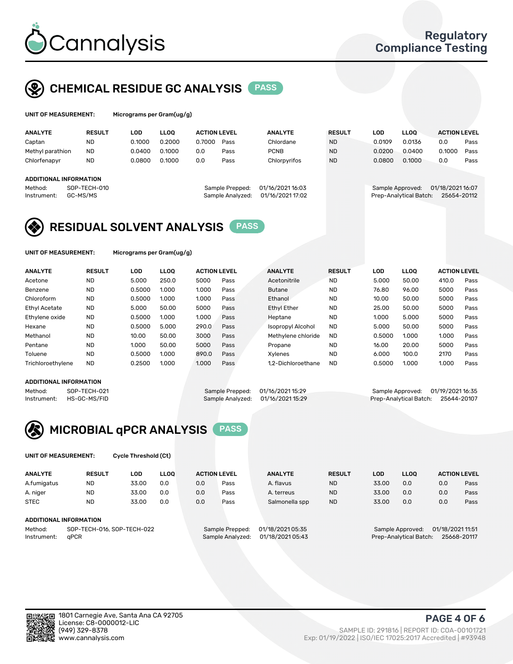

## CHEMICAL RESIDUE GC ANALYSIS PASS

| UNIT OF MEASUREMENT: | Micrograms per Gram(ug/g) |
|----------------------|---------------------------|
|                      |                           |

| <b>ANALYTE</b>         | <b>RESULT</b> | LOD    | <b>LLOO</b> | <b>ACTION LEVEL</b> |                  | <b>ANALYTE</b>   | <b>RESULT</b> | LOD              | <b>LLOO</b>            | <b>ACTION LEVEL</b> |      |
|------------------------|---------------|--------|-------------|---------------------|------------------|------------------|---------------|------------------|------------------------|---------------------|------|
| Captan                 | ND            | 0.1000 | 0.2000      | 0.7000              | Pass             | Chlordane        | <b>ND</b>     | 0.0109           | 0.0136                 | 0.0                 | Pass |
| Methyl parathion       | <b>ND</b>     | 0.0400 | 0.1000      | 0.0                 | Pass             | <b>PCNB</b>      | <b>ND</b>     | 0.0200           | 0.0400                 | 0.1000              | Pass |
| Chlorfenapyr           | <b>ND</b>     | 0.0800 | 0.1000      | 0.0                 | Pass             | Chlorpyrifos     | <b>ND</b>     | 0.0800           | 0.1000                 | 0.0                 | Pass |
|                        |               |        |             |                     |                  |                  |               |                  |                        |                     |      |
| ADDITIONAL INFORMATION |               |        |             |                     |                  |                  |               |                  |                        |                     |      |
| Method:                | SOP-TECH-010  |        |             |                     | Sample Prepped:  | 01/16/2021 16:03 |               | Sample Approved: |                        | 01/18/2021 16:07    |      |
| Instrument:            | GC-MS/MS      |        |             |                     | Sample Analyzed: | 01/16/2021 17:02 |               |                  | Prep-Analytical Batch: | 25654-20112         |      |

## RESIDUAL SOLVENT ANALYSIS PASS

UNIT OF MEASUREMENT: Micrograms per Gram(ug/g)

| <b>ANALYTE</b>       | <b>RESULT</b> | <b>LOD</b> | <b>LLOO</b> | <b>ACTION LEVEL</b> |      | <b>ANALYTE</b>           | <b>RESULT</b> | LOD    | <b>LLOO</b> | <b>ACTION LEVEL</b> |      |
|----------------------|---------------|------------|-------------|---------------------|------|--------------------------|---------------|--------|-------------|---------------------|------|
| Acetone              | <b>ND</b>     | 5.000      | 250.0       | 5000                | Pass | Acetonitrile             | <b>ND</b>     | 5.000  | 50.00       | 410.0               | Pass |
| Benzene              | <b>ND</b>     | 0.5000     | 1.000       | 1.000               | Pass | <b>Butane</b>            | <b>ND</b>     | 76.80  | 96.00       | 5000                | Pass |
| Chloroform           | <b>ND</b>     | 0.5000     | 1.000       | 1.000               | Pass | Ethanol                  | <b>ND</b>     | 10.00  | 50.00       | 5000                | Pass |
| <b>Ethyl Acetate</b> | <b>ND</b>     | 5.000      | 50.00       | 5000                | Pass | <b>Ethyl Ether</b>       | <b>ND</b>     | 25.00  | 50.00       | 5000                | Pass |
| Ethylene oxide       | <b>ND</b>     | 0.5000     | 1.000       | 1.000               | Pass | Heptane                  | <b>ND</b>     | 1.000  | 5.000       | 5000                | Pass |
| Hexane               | <b>ND</b>     | 0.5000     | 5.000       | 290.0               | Pass | <b>Isopropyl Alcohol</b> | <b>ND</b>     | 5.000  | 50.00       | 5000                | Pass |
| Methanol             | <b>ND</b>     | 10.00      | 50.00       | 3000                | Pass | Methylene chloride       | <b>ND</b>     | 0.5000 | 1.000       | 1.000               | Pass |
| Pentane              | <b>ND</b>     | 1.000      | 50.00       | 5000                | Pass | Propane                  | <b>ND</b>     | 16.00  | 20.00       | 5000                | Pass |
| Toluene              | <b>ND</b>     | 0.5000     | 1.000       | 890.0               | Pass | Xylenes                  | <b>ND</b>     | 6.000  | 100.0       | 2170                | Pass |
| Trichloroethylene    | <b>ND</b>     | 0.2500     | 1.000       | 1.000               | Pass | 1.2-Dichloroethane       | <b>ND</b>     | 0.5000 | 1.000       | 1.000               | Pass |

#### ADDITIONAL INFORMATION

Method: SOP-TECH-021 Sample Prepped: 01/16/2021 15:29 Sample Approved: 01/19/2021 16:35<br>Instrument: HS-GC-MS/FID Sample Analyzed: 01/16/2021 15:29 Prep-Analytical Batch: 25644-20107 Prep-Analytical Batch: 25644-20107



UNIT OF MEASUREMENT: Cycle Threshold (Ct)

| <b>ANALYTE</b>                | <b>RESULT</b>              | LOD   | <b>LLOO</b> |     | <b>ACTION LEVEL</b> | <b>ANALYTE</b>   | <b>RESULT</b> | <b>LOD</b> | <b>LLOO</b>      |                  | <b>ACTION LEVEL</b> |
|-------------------------------|----------------------------|-------|-------------|-----|---------------------|------------------|---------------|------------|------------------|------------------|---------------------|
| A.fumigatus                   | ND                         | 33.00 | 0.0         | 0.0 | Pass                | A. flavus        | <b>ND</b>     | 33.00      | 0.0              | 0.0              | Pass                |
| A. niger                      | <b>ND</b>                  | 33.00 | 0.0         | 0.0 | Pass                | A. terreus       | <b>ND</b>     | 33.00      | 0.0              | 0.0              | Pass                |
| <b>STEC</b>                   | <b>ND</b>                  | 33.00 | 0.0         | 0.0 | Pass                | Salmonella spp   | <b>ND</b>     | 33.00      | 0.0              | 0.0              | Pass                |
|                               |                            |       |             |     |                     |                  |               |            |                  |                  |                     |
| <b>ADDITIONAL INFORMATION</b> |                            |       |             |     |                     |                  |               |            |                  |                  |                     |
| Method:                       | SOP-TECH-016, SOP-TECH-022 |       |             |     | Sample Prepped:     | 01/18/2021 05:35 |               |            | Sample Approved: | 01/18/2021 11:51 |                     |

Instrument: qPCR Sample Analyzed: 01/18/2021 05:43 Prep-Analytical Batch: 25668-20117

PAGE 4 OF 6

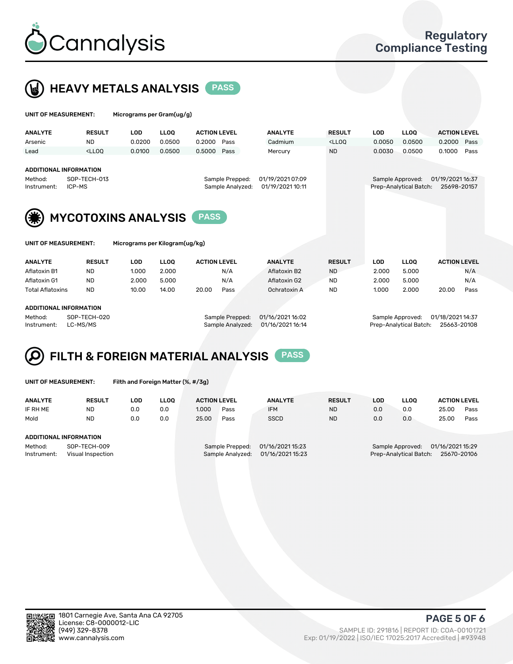

## HEAVY METALS ANALYSIS PASS

| UNIT OF MEASUREMENT: |        | Micrograms per Gram(ug/g) |   |
|----------------------|--------|---------------------------|---|
| . <i>.</i>           | ------ | $\sim$ $\sim$             | . |

| <b>ANALYTE</b>                                                                                                                                            | <b>RESULT</b>                                                                                                                                                               | LOD    | <b>LLOO</b> | <b>ACTION LEVEL</b> |      | <b>ANALYTE</b> | <b>RESULT</b>                                                                   | LOD                                                                           | <b>LLOO</b> | <b>ACTION LEVEL</b> |      |  |
|-----------------------------------------------------------------------------------------------------------------------------------------------------------|-----------------------------------------------------------------------------------------------------------------------------------------------------------------------------|--------|-------------|---------------------|------|----------------|---------------------------------------------------------------------------------|-------------------------------------------------------------------------------|-------------|---------------------|------|--|
| Arsenic                                                                                                                                                   | <b>ND</b>                                                                                                                                                                   | 0.0200 | 0.0500      | 0.2000              | Pass | Cadmium        | <lloo< td=""><td>0.0050</td><td>0.0500</td><td>0.2000</td><td>Pass</td></lloo<> | 0.0050                                                                        | 0.0500      | 0.2000              | Pass |  |
| Lead                                                                                                                                                      | <lloo< th=""><th>0.0100</th><th>0.0500</th><th>0.5000</th><th>Pass</th><th>Mercury</th><th><b>ND</b></th><th>0.0030</th><th>0.0500</th><th>0.1000</th><th>Pass</th></lloo<> | 0.0100 | 0.0500      | 0.5000              | Pass | Mercury        | <b>ND</b>                                                                       | 0.0030                                                                        | 0.0500      | 0.1000              | Pass |  |
| ADDITIONAL INFORMATION<br>SOP-TECH-013<br>01/19/2021 07:09<br>Sample Prepped:<br>Method:<br>Sample Analyzed:<br>01/19/2021 10:11<br>ICP-MS<br>Instrument: |                                                                                                                                                                             |        |             |                     |      |                |                                                                                 | 01/19/2021 16:37<br>Sample Approved:<br>Prep-Analytical Batch:<br>25698-20157 |             |                     |      |  |
| (兼)<br><b>MYCOTOXINS ANALYSIS</b><br><b>PASS</b>                                                                                                          |                                                                                                                                                                             |        |             |                     |      |                |                                                                                 |                                                                               |             |                     |      |  |
| Micrograms per Kilogram(ug/kg)<br>UNIT OF MEASUREMENT:                                                                                                    |                                                                                                                                                                             |        |             |                     |      |                |                                                                                 |                                                                               |             |                     |      |  |
| <b>AMAINTE</b>                                                                                                                                            | <b>DEALLY</b>                                                                                                                                                               | $\sim$ | $\cdots$    | A ATIAN LEVEL       |      | ANIAI VITE     | 850111 T                                                                        | $\sim$                                                                        | $\cdots$    | A ATIAN I FVEL      |      |  |

| <b>ANALYTE</b>          | <b>RESULT</b> | LOD   | <b>LLOO</b> | <b>ACTION LEVEL</b> |      | <b>ANALYTE</b> | <b>RESULT</b> | LOD   | <b>LLOO</b> | <b>ACTION LEVEL</b> |      |  |
|-------------------------|---------------|-------|-------------|---------------------|------|----------------|---------------|-------|-------------|---------------------|------|--|
| Aflatoxin B1            | <b>ND</b>     | 1.000 | 2.000       |                     | N/A  | Aflatoxin B2   | <b>ND</b>     | 2.000 | 5.000       |                     | N/A  |  |
| Aflatoxin G1            | <b>ND</b>     | 2.000 | 5.000       |                     | N/A  | Aflatoxin G2   | <b>ND</b>     | 2.000 | 5.000       |                     | N/A  |  |
| <b>Total Aflatoxins</b> | <b>ND</b>     | 10.00 | 14.00       | 20.00               | Pass | Ochratoxin A   | <b>ND</b>     | 1.000 | 2.000       | 20.00               | Pass |  |
|                         |               |       |             |                     |      |                |               |       |             |                     |      |  |
|                         |               |       |             |                     |      |                |               |       |             |                     |      |  |

#### ADDITIONAL INFORMATION

Method: SOP-TECH-020 Sample Prepped: 01/16/2021 16:02 Sample Approved: 01/18/2021 14:37

Instrument: LC-MS/MS Sample Analyzed: 01/16/2021 16:14 Prep-Analytical Batch: 25663-20108

# FILTH & FOREIGN MATERIAL ANALYSIS PASS

UNIT OF MEASUREMENT: Filth and Foreign Matter (%, #/3g)

| <b>ANALYTE</b>                                              | <b>RESULT</b> | LOD | <b>LLOO</b> | <b>ACTION LEVEL</b>                 |                                      | <b>ANALYTE</b>                                                                | <b>RESULT</b> | LOD | <b>LLOO</b> | <b>ACTION LEVEL</b> |      |
|-------------------------------------------------------------|---------------|-----|-------------|-------------------------------------|--------------------------------------|-------------------------------------------------------------------------------|---------------|-----|-------------|---------------------|------|
| IF RH ME                                                    | <b>ND</b>     | 0.0 | 0.0         | 1.000                               | Pass                                 | <b>IFM</b>                                                                    | <b>ND</b>     | 0.0 | 0.0         | 25.00               | Pass |
| Mold                                                        | <b>ND</b>     | 0.0 | 0.0         | 25.00                               | Pass                                 | <b>SSCD</b>                                                                   | <b>ND</b>     | 0.0 | 0.0         | 25.00               | Pass |
| ADDITIONAL INFORMATION                                      |               |     |             |                                     |                                      |                                                                               |               |     |             |                     |      |
| Method:<br>SOP-TECH-009<br>Instrument:<br>Visual Inspection |               |     |             | Sample Prepped:<br>Sample Analyzed: | 01/16/2021 15:23<br>01/16/2021 15:23 | 01/16/2021 15:29<br>Sample Approved:<br>Prep-Analytical Batch:<br>25670-20106 |               |     |             |                     |      |